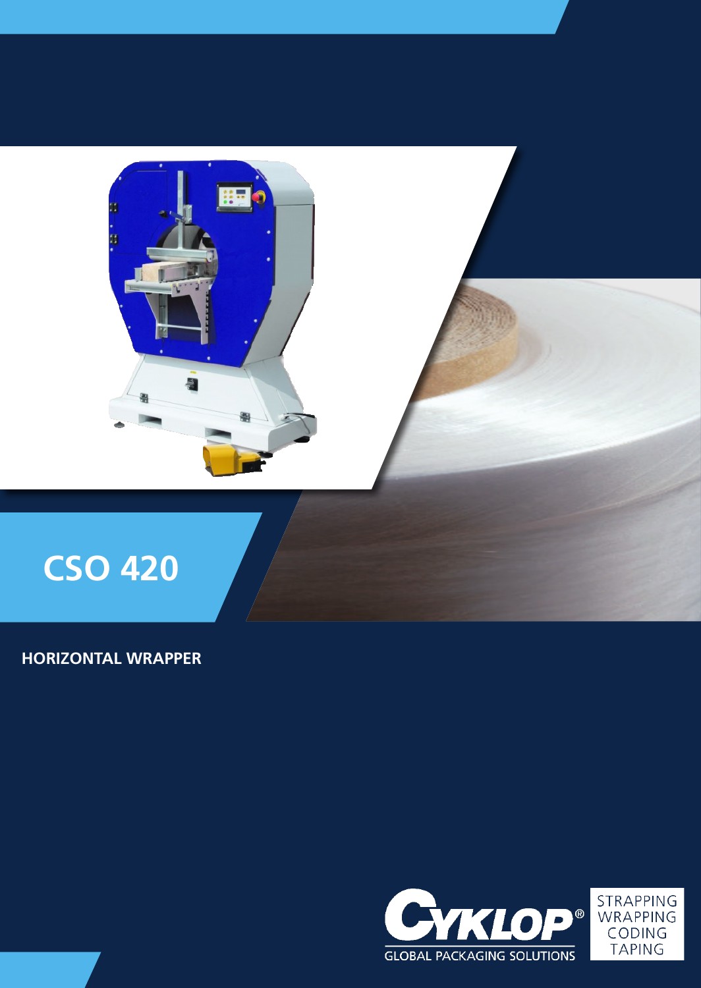

# **HORIZONTAL WRAPPER**